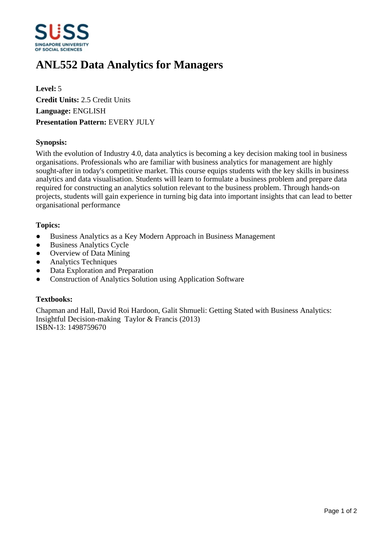

# **ANL552 Data Analytics for Managers**

**Level:** 5 **Credit Units:** 2.5 Credit Units **Language:** ENGLISH **Presentation Pattern:** EVERY JULY

### **Synopsis:**

With the evolution of Industry 4.0, data analytics is becoming a key decision making tool in business organisations. Professionals who are familiar with business analytics for management are highly sought-after in today's competitive market. This course equips students with the key skills in business analytics and data visualisation. Students will learn to formulate a business problem and prepare data required for constructing an analytics solution relevant to the business problem. Through hands-on projects, students will gain experience in turning big data into important insights that can lead to better organisational performance

#### **Topics:**

- Business Analytics as a Key Modern Approach in Business Management
- Business Analytics Cycle
- Overview of Data Mining
- ƔAnalytics Techniques
- Data Exploration and Preparation
- ƔConstruction of Analytics Solution using Application Software

#### **Textbooks:**

Chapman and Hall, David Roi Hardoon, Galit Shmueli: Getting Stated with Business Analytics: Insightful Decision-making Taylor & Francis (2013) ISBN-13: 1498759670